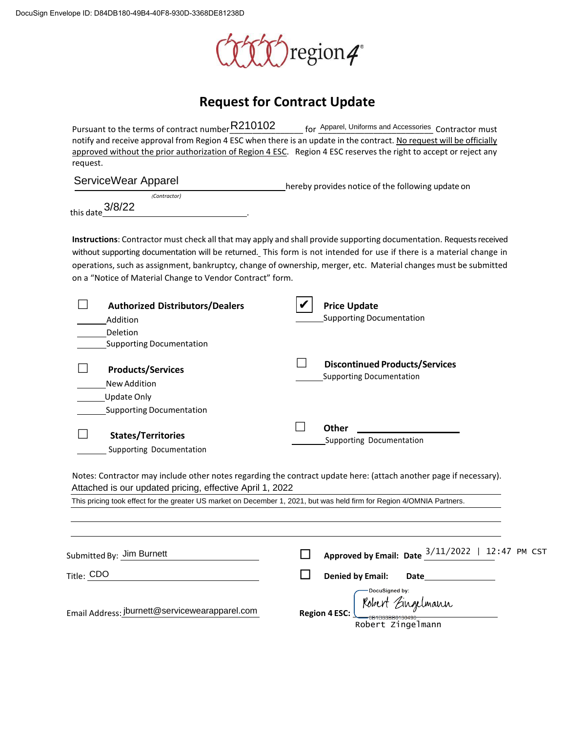

## **Request for Contract Update**

| Pursuant to the terms of contract number R210102                                                                       | for Apparel, Uniforms and Accessories Contractor must                                                                                                                                                                                                     |
|------------------------------------------------------------------------------------------------------------------------|-----------------------------------------------------------------------------------------------------------------------------------------------------------------------------------------------------------------------------------------------------------|
|                                                                                                                        | notify and receive approval from Region 4 ESC when there is an update in the contract. No request will be officially                                                                                                                                      |
|                                                                                                                        | approved without the prior authorization of Region 4 ESC. Region 4 ESC reserves the right to accept or reject any                                                                                                                                         |
| request.                                                                                                               |                                                                                                                                                                                                                                                           |
| ServiceWear Apparel                                                                                                    |                                                                                                                                                                                                                                                           |
| (Contractor)                                                                                                           | hereby provides notice of the following update on                                                                                                                                                                                                         |
| 3/8/22                                                                                                                 |                                                                                                                                                                                                                                                           |
| this date                                                                                                              |                                                                                                                                                                                                                                                           |
|                                                                                                                        | Instructions: Contractor must check all that may apply and shall provide supporting documentation. Requests received                                                                                                                                      |
|                                                                                                                        | without supporting documentation will be returned. This form is not intended for use if there is a material change in                                                                                                                                     |
|                                                                                                                        | operations, such as assignment, bankruptcy, change of ownership, merger, etc. Material changes must be submitted                                                                                                                                          |
| on a "Notice of Material Change to Vendor Contract" form.                                                              |                                                                                                                                                                                                                                                           |
|                                                                                                                        |                                                                                                                                                                                                                                                           |
| <b>Authorized Distributors/Dealers</b>                                                                                 | <b>Price Update</b>                                                                                                                                                                                                                                       |
| Addition                                                                                                               | <b>Supporting Documentation</b>                                                                                                                                                                                                                           |
| Deletion                                                                                                               |                                                                                                                                                                                                                                                           |
| <b>Supporting Documentation</b>                                                                                        |                                                                                                                                                                                                                                                           |
|                                                                                                                        |                                                                                                                                                                                                                                                           |
| <b>Products/Services</b>                                                                                               | <b>Discontinued Products/Services</b>                                                                                                                                                                                                                     |
| <b>New Addition</b>                                                                                                    | <b>Supporting Documentation</b>                                                                                                                                                                                                                           |
| Update Only                                                                                                            |                                                                                                                                                                                                                                                           |
| <b>Supporting Documentation</b>                                                                                        |                                                                                                                                                                                                                                                           |
|                                                                                                                        |                                                                                                                                                                                                                                                           |
| <b>States/Territories</b>                                                                                              | <b>Other</b>                                                                                                                                                                                                                                              |
| Supporting Documentation                                                                                               | Supporting Documentation                                                                                                                                                                                                                                  |
|                                                                                                                        |                                                                                                                                                                                                                                                           |
|                                                                                                                        | Notes: Contractor may include other notes regarding the contract update here: (attach another page if necessary).                                                                                                                                         |
| Attached is our updated pricing, effective April 1, 2022                                                               |                                                                                                                                                                                                                                                           |
| This pricing took effect for the greater US market on December 1, 2021, but was held firm for Region 4/OMNIA Partners. |                                                                                                                                                                                                                                                           |
|                                                                                                                        |                                                                                                                                                                                                                                                           |
|                                                                                                                        |                                                                                                                                                                                                                                                           |
|                                                                                                                        |                                                                                                                                                                                                                                                           |
| Submitted By: Jim Burnett                                                                                              | Approved by Email: Date $\frac{3/11/2022}{ }$   12:47 PM CST                                                                                                                                                                                              |
| Title: CDO                                                                                                             | <b>Denied by Email:</b><br>Date the contract of the contract of the contract of the contract of the contract of the contract of the contract of the contract of the contract of the contract of the contract of the contract of the contract of the contr |
|                                                                                                                        | DocuSigned by:                                                                                                                                                                                                                                            |
|                                                                                                                        |                                                                                                                                                                                                                                                           |
| Email Address: jburnett@servicewearapparel.com                                                                         | (Robert Eingelmann<br><b>Region 4 ESC:</b>                                                                                                                                                                                                                |
|                                                                                                                        |                                                                                                                                                                                                                                                           |

Robert Zingelmann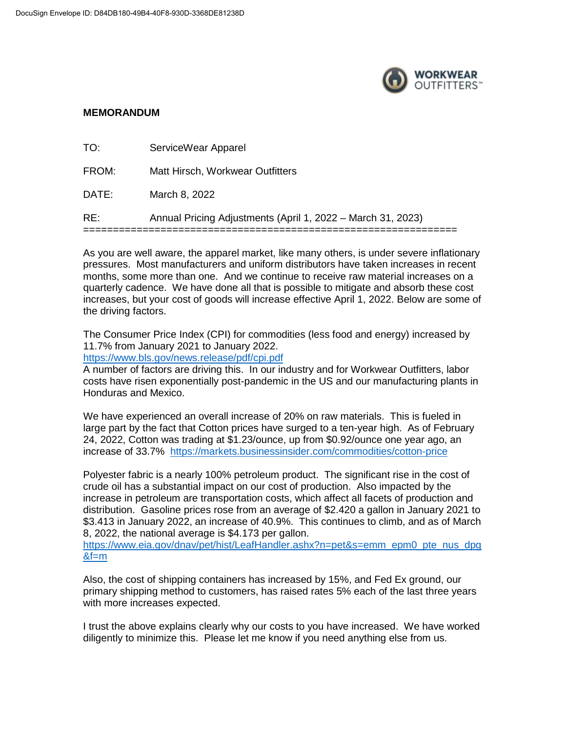

## **MEMORANDUM**

| RE:   | Annual Pricing Adjustments (April 1, 2022 – March 31, 2023) |
|-------|-------------------------------------------------------------|
| DATE: | March 8, 2022                                               |
| FROM: | Matt Hirsch, Workwear Outfitters                            |
| TO:   | ServiceWear Apparel                                         |

As you are well aware, the apparel market, like many others, is under severe inflationary pressures. Most manufacturers and uniform distributors have taken increases in recent months, some more than one. And we continue to receive raw material increases on a quarterly cadence. We have done all that is possible to mitigate and absorb these cost increases, but your cost of goods will increase effective April 1, 2022. Below are some of the driving factors.

The Consumer Price Index (CPI) for commodities (less food and energy) increased by 11.7% from January 2021 to January 2022.

<https://www.bls.gov/news.release/pdf/cpi.pdf>

A number of factors are driving this. In our industry and for Workwear Outfitters, labor costs have risen exponentially post-pandemic in the US and our manufacturing plants in Honduras and Mexico.

We have experienced an overall increase of 20% on raw materials. This is fueled in large part by the fact that Cotton prices have surged to a ten-year high. As of February 24, 2022, Cotton was trading at \$1.23/ounce, up from \$0.92/ounce one year ago, an increase of 33.7% <https://markets.businessinsider.com/commodities/cotton-price>

Polyester fabric is a nearly 100% petroleum product. The significant rise in the cost of crude oil has a substantial impact on our cost of production. Also impacted by the increase in petroleum are transportation costs, which affect all facets of production and distribution. Gasoline prices rose from an average of \$2.420 a gallon in January 2021 to \$3.413 in January 2022, an increase of 40.9%. This continues to climb, and as of March 8, 2022, the national average is \$4.173 per gallon.

[https://www.eia.gov/dnav/pet/hist/LeafHandler.ashx?n=pet&s=emm\\_epm0\\_pte\\_nus\\_dpg](https://www.eia.gov/dnav/pet/hist/LeafHandler.ashx?n=pet&s=emm_epm0_pte_nus_dpg&f=m)  $&f=m$ 

Also, the cost of shipping containers has increased by 15%, and Fed Ex ground, our primary shipping method to customers, has raised rates 5% each of the last three years with more increases expected.

I trust the above explains clearly why our costs to you have increased. We have worked diligently to minimize this. Please let me know if you need anything else from us.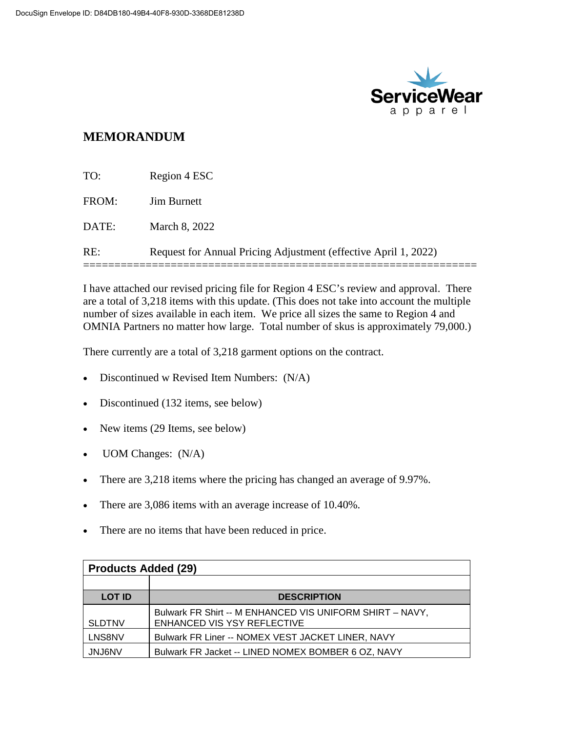

## **MEMORANDUM**

| RE:   | Request for Annual Pricing Adjustment (effective April 1, 2022) |
|-------|-----------------------------------------------------------------|
| DATE: | March 8, 2022                                                   |
| FROM: | <b>Jim Burnett</b>                                              |
| TO:   | Region 4 ESC                                                    |

I have attached our revised pricing file for Region 4 ESC's review and approval. There are a total of 3,218 items with this update. (This does not take into account the multiple number of sizes available in each item. We price all sizes the same to Region 4 and OMNIA Partners no matter how large. Total number of skus is approximately 79,000.)

There currently are a total of 3,218 garment options on the contract.

- Discontinued w Revised Item Numbers: (N/A)
- Discontinued (132 items, see below)
- New items (29 Items, see below)
- UOM Changes:  $(N/A)$
- There are 3,218 items where the pricing has changed an average of 9.97%.
- There are 3,086 items with an average increase of 10.40%.
- There are no items that have been reduced in price.

| <b>Products Added (29)</b> |                                                                                         |
|----------------------------|-----------------------------------------------------------------------------------------|
|                            |                                                                                         |
| <b>LOT ID</b>              | <b>DESCRIPTION</b>                                                                      |
| <b>SLDTNV</b>              | Bulwark FR Shirt -- M ENHANCED VIS UNIFORM SHIRT - NAVY,<br>ENHANCED VIS YSY REFLECTIVE |
| LNS8NV                     | Bulwark FR Liner -- NOMEX VEST JACKET LINER, NAVY                                       |
| <b>JNJ6NV</b>              | Bulwark FR Jacket -- LINED NOMEX BOMBER 6 OZ, NAVY                                      |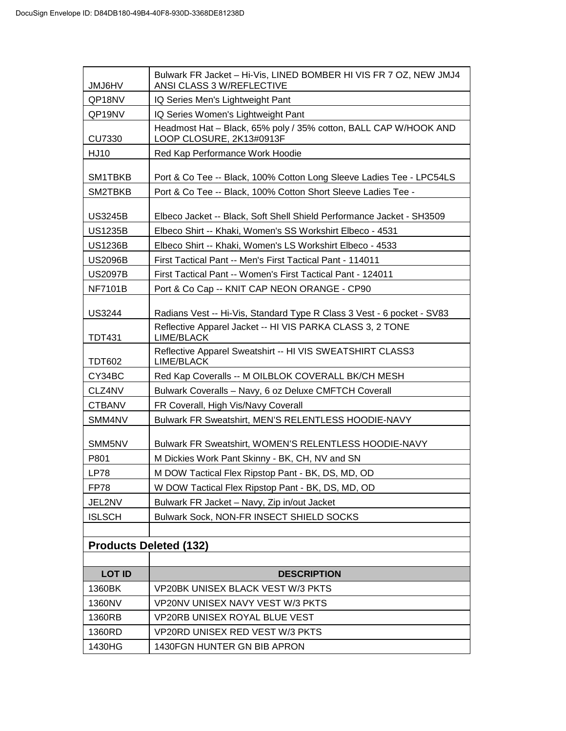| <b>JMJ6HV</b>                 | Bulwark FR Jacket - Hi-Vis, LINED BOMBER HI VIS FR 7 OZ, NEW JMJ4<br>ANSI CLASS 3 W/REFLECTIVE |
|-------------------------------|------------------------------------------------------------------------------------------------|
| QP18NV                        | IQ Series Men's Lightweight Pant                                                               |
| QP19NV                        | IQ Series Women's Lightweight Pant                                                             |
| <b>CU7330</b>                 | Headmost Hat - Black, 65% poly / 35% cotton, BALL CAP W/HOOK AND<br>LOOP CLOSURE, 2K13#0913F   |
| <b>HJ10</b>                   | Red Kap Performance Work Hoodie                                                                |
| SM1TBKB                       | Port & Co Tee -- Black, 100% Cotton Long Sleeve Ladies Tee - LPC54LS                           |
| SM2TBKB                       | Port & Co Tee -- Black, 100% Cotton Short Sleeve Ladies Tee -                                  |
| <b>US3245B</b>                | Elbeco Jacket -- Black, Soft Shell Shield Performance Jacket - SH3509                          |
| <b>US1235B</b>                | Elbeco Shirt -- Khaki, Women's SS Workshirt Elbeco - 4531                                      |
| <b>US1236B</b>                | Elbeco Shirt -- Khaki, Women's LS Workshirt Elbeco - 4533                                      |
| <b>US2096B</b>                | First Tactical Pant -- Men's First Tactical Pant - 114011                                      |
| <b>US2097B</b>                | First Tactical Pant -- Women's First Tactical Pant - 124011                                    |
| <b>NF7101B</b>                | Port & Co Cap -- KNIT CAP NEON ORANGE - CP90                                                   |
| <b>US3244</b>                 | Radians Vest -- Hi-Vis, Standard Type R Class 3 Vest - 6 pocket - SV83                         |
| <b>TDT431</b>                 | Reflective Apparel Jacket -- HI VIS PARKA CLASS 3, 2 TONE<br>LIME/BLACK                        |
| TDT602                        | Reflective Apparel Sweatshirt -- HI VIS SWEATSHIRT CLASS3<br>LIME/BLACK                        |
| CY34BC                        | Red Kap Coveralls -- M OILBLOK COVERALL BK/CH MESH                                             |
| CLZ4NV                        | Bulwark Coveralls - Navy, 6 oz Deluxe CMFTCH Coverall                                          |
| <b>CTBANV</b>                 | FR Coverall, High Vis/Navy Coverall                                                            |
| SMM4NV                        | Bulwark FR Sweatshirt, MEN'S RELENTLESS HOODIE-NAVY                                            |
| SMM5NV                        | Bulwark FR Sweatshirt, WOMEN'S RELENTLESS HOODIE-NAVY                                          |
| P801                          | M Dickies Work Pant Skinny - BK, CH, NV and SN                                                 |
| <b>LP78</b>                   | M DOW Tactical Flex Ripstop Pant - BK, DS, MD, OD                                              |
| <b>FP78</b>                   | W DOW Tactical Flex Ripstop Pant - BK, DS, MD, OD                                              |
| JEL2NV                        | Bulwark FR Jacket - Navy, Zip in/out Jacket                                                    |
| <b>ISLSCH</b>                 | <b>Bulwark Sock, NON-FR INSECT SHIELD SOCKS</b>                                                |
|                               |                                                                                                |
| <b>Products Deleted (132)</b> |                                                                                                |
| <b>LOT ID</b>                 | <b>DESCRIPTION</b>                                                                             |
| 1360BK                        | VP20BK UNISEX BLACK VEST W/3 PKTS                                                              |
| 1360NV                        | VP20NV UNISEX NAVY VEST W/3 PKTS                                                               |
| 1360RB                        | <b>VP20RB UNISEX ROYAL BLUE VEST</b>                                                           |
| 1360RD                        | VP20RD UNISEX RED VEST W/3 PKTS                                                                |
| 1430HG                        | 1430FGN HUNTER GN BIB APRON                                                                    |
|                               |                                                                                                |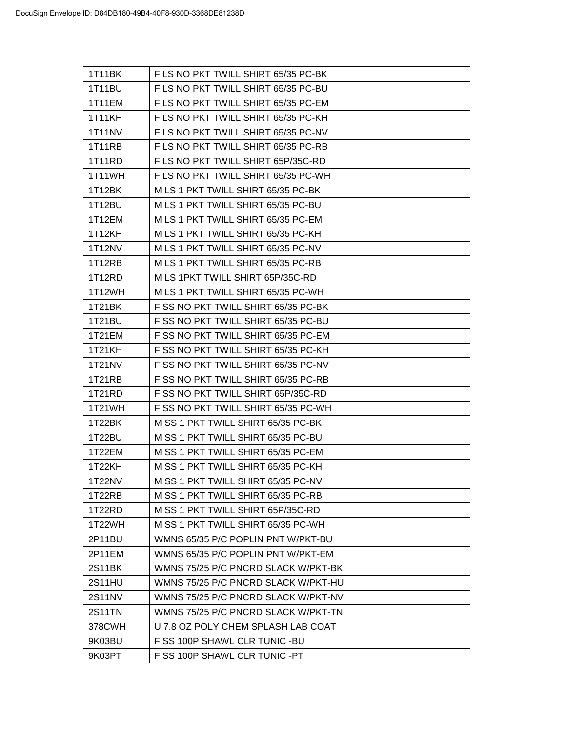| 1T11BK        | F LS NO PKT TWILL SHIRT 65/35 PC-BK |
|---------------|-------------------------------------|
| 1T11BU        | F LS NO PKT TWILL SHIRT 65/35 PC-BU |
| 1T11EM        | F LS NO PKT TWILL SHIRT 65/35 PC-EM |
| 1T11KH        | F LS NO PKT TWILL SHIRT 65/35 PC-KH |
| <b>1T11NV</b> | F LS NO PKT TWILL SHIRT 65/35 PC-NV |
| 1T11RB        | F LS NO PKT TWILL SHIRT 65/35 PC-RB |
| 1T11RD        | F LS NO PKT TWILL SHIRT 65P/35C-RD  |
| 1T11WH        | F LS NO PKT TWILL SHIRT 65/35 PC-WH |
| 1T12BK        | M LS 1 PKT TWILL SHIRT 65/35 PC-BK  |
| 1T12BU        | M LS 1 PKT TWILL SHIRT 65/35 PC-BU  |
| 1T12EM        | M LS 1 PKT TWILL SHIRT 65/35 PC-EM  |
| 1T12KH        | M LS 1 PKT TWILL SHIRT 65/35 PC-KH  |
| 1T12NV        | M LS 1 PKT TWILL SHIRT 65/35 PC-NV  |
| 1T12RB        | M LS 1 PKT TWILL SHIRT 65/35 PC-RB  |
| 1T12RD        | M LS 1PKT TWILL SHIRT 65P/35C-RD    |
| 1T12WH        | M LS 1 PKT TWILL SHIRT 65/35 PC-WH  |
| 1T21BK        | F SS NO PKT TWILL SHIRT 65/35 PC-BK |
| 1T21BU        | F SS NO PKT TWILL SHIRT 65/35 PC-BU |
| 1T21EM        | F SS NO PKT TWILL SHIRT 65/35 PC-EM |
| 1T21KH        | F SS NO PKT TWILL SHIRT 65/35 PC-KH |
| 1T21NV        | F SS NO PKT TWILL SHIRT 65/35 PC-NV |
| 1T21RB        | F SS NO PKT TWILL SHIRT 65/35 PC-RB |
| 1T21RD        | F SS NO PKT TWILL SHIRT 65P/35C-RD  |
| 1T21WH        | F SS NO PKT TWILL SHIRT 65/35 PC-WH |
| 1T22BK        | M SS 1 PKT TWILL SHIRT 65/35 PC-BK  |
| 1T22BU        | M SS 1 PKT TWILL SHIRT 65/35 PC-BU  |
| 1T22EM        | M SS 1 PKT TWILL SHIRT 65/35 PC-EM  |
| 1T22KH        | M SS 1 PKT TWILL SHIRT 65/35 PC-KH  |
| 1T22NV        | M SS 1 PKT TWILL SHIRT 65/35 PC-NV  |
| 1T22RB        | M SS 1 PKT TWILL SHIRT 65/35 PC-RB  |
| 1T22RD        | M SS 1 PKT TWILL SHIRT 65P/35C-RD   |
| 1T22WH        | M SS 1 PKT TWILL SHIRT 65/35 PC-WH  |
| 2P11BU        | WMNS 65/35 P/C POPLIN PNT W/PKT-BU  |
| 2P11EM        | WMNS 65/35 P/C POPLIN PNT W/PKT-EM  |
| 2S11BK        | WMNS 75/25 P/C PNCRD SLACK W/PKT-BK |
| 2S11HU        | WMNS 75/25 P/C PNCRD SLACK W/PKT-HU |
| <b>2S11NV</b> | WMNS 75/25 P/C PNCRD SLACK W/PKT-NV |
| <b>2S11TN</b> | WMNS 75/25 P/C PNCRD SLACK W/PKT-TN |
| 378CWH        | U 7.8 OZ POLY CHEM SPLASH LAB COAT  |
| 9K03BU        | F SS 100P SHAWL CLR TUNIC - BU      |
| 9K03PT        | F SS 100P SHAWL CLR TUNIC -PT       |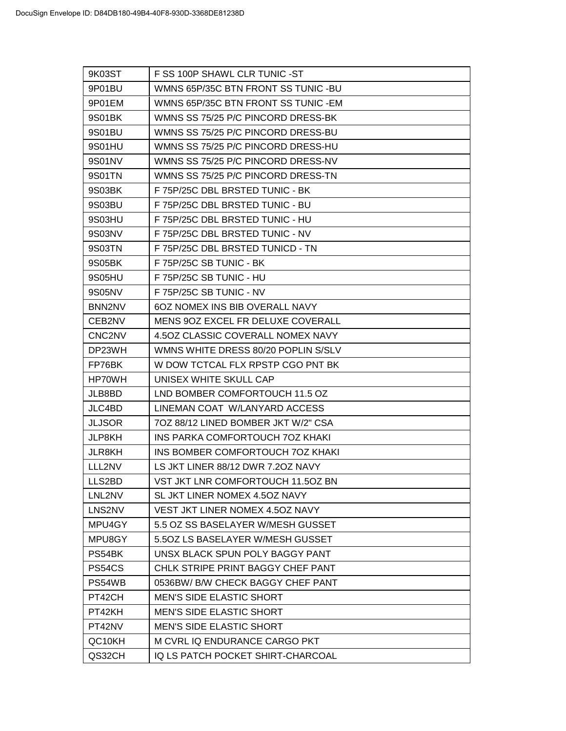| 9K03ST                          | F SS 100P SHAWL CLR TUNIC - ST      |
|---------------------------------|-------------------------------------|
| 9P01BU                          | WMNS 65P/35C BTN FRONT SS TUNIC -BU |
| 9P01EM                          | WMNS 65P/35C BTN FRONT SS TUNIC -EM |
| 9S01BK                          | WMNS SS 75/25 P/C PINCORD DRESS-BK  |
| 9S01BU                          | WMNS SS 75/25 P/C PINCORD DRESS-BU  |
| 9S01HU                          | WMNS SS 75/25 P/C PINCORD DRESS-HU  |
| 9S01NV                          | WMNS SS 75/25 P/C PINCORD DRESS-NV  |
| 9S01TN                          | WMNS SS 75/25 P/C PINCORD DRESS-TN  |
| 9S03BK                          | F 75P/25C DBL BRSTED TUNIC - BK     |
| 9S03BU                          | F 75P/25C DBL BRSTED TUNIC - BU     |
| 9S03HU                          | F 75P/25C DBL BRSTED TUNIC - HU     |
| 9S03NV                          | F 75P/25C DBL BRSTED TUNIC - NV     |
| 9S03TN                          | F 75P/25C DBL BRSTED TUNICD - TN    |
| 9S05BK                          | F 75P/25C SB TUNIC - BK             |
| 9S05HU                          | F 75P/25C SB TUNIC - HU             |
| 9S05NV                          | F 75P/25C SB TUNIC - NV             |
| BNN2NV                          | 60Z NOMEX INS BIB OVERALL NAVY      |
| CEB2NV                          | MENS 90Z EXCEL FR DELUXE COVERALL   |
| CNC <sub>2</sub> N <sub>V</sub> | 4.50Z CLASSIC COVERALL NOMEX NAVY   |
| DP23WH                          | WMNS WHITE DRESS 80/20 POPLIN S/SLV |
| FP76BK                          | W DOW TCTCAL FLX RPSTP CGO PNT BK   |
| HP70WH                          | UNISEX WHITE SKULL CAP              |
| JLB8BD                          | LND BOMBER COMFORTOUCH 11.5 OZ      |
| JLC4BD                          | LINEMAN COAT W/LANYARD ACCESS       |
| <b>JLJSOR</b>                   | 7OZ 88/12 LINED BOMBER JKT W/2" CSA |
| <b>JLP8KH</b>                   | INS PARKA COMFORTOUCH 70Z KHAKI     |
| <b>JLR8KH</b>                   | INS BOMBER COMFORTOUCH 70Z KHAKI    |
| LLL2NV                          | LS JKT LINER 88/12 DWR 7.20Z NAVY   |
| LLS2BD                          | VST JKT LNR COMFORTOUCH 11.50Z BN   |
| LNL2NV                          | SL JKT LINER NOMEX 4.50Z NAVY       |
| LNS2NV                          | VEST JKT LINER NOMEX 4.50Z NAVY     |
| MPU4GY                          | 5.5 OZ SS BASELAYER W/MESH GUSSET   |
| MPU8GY                          | 5.50Z LS BASELAYER W/MESH GUSSET    |
| PS54BK                          | UNSX BLACK SPUN POLY BAGGY PANT     |
| PS54CS                          | CHLK STRIPE PRINT BAGGY CHEF PANT   |
| PS54WB                          | 0536BW/ B/W CHECK BAGGY CHEF PANT   |
| PT42CH                          | <b>MEN'S SIDE ELASTIC SHORT</b>     |
| PT42KH                          | <b>MEN'S SIDE ELASTIC SHORT</b>     |
| PT42NV                          | <b>MEN'S SIDE ELASTIC SHORT</b>     |
| QC10KH                          | M CVRL IQ ENDURANCE CARGO PKT       |
| QS32CH                          | IQ LS PATCH POCKET SHIRT-CHARCOAL   |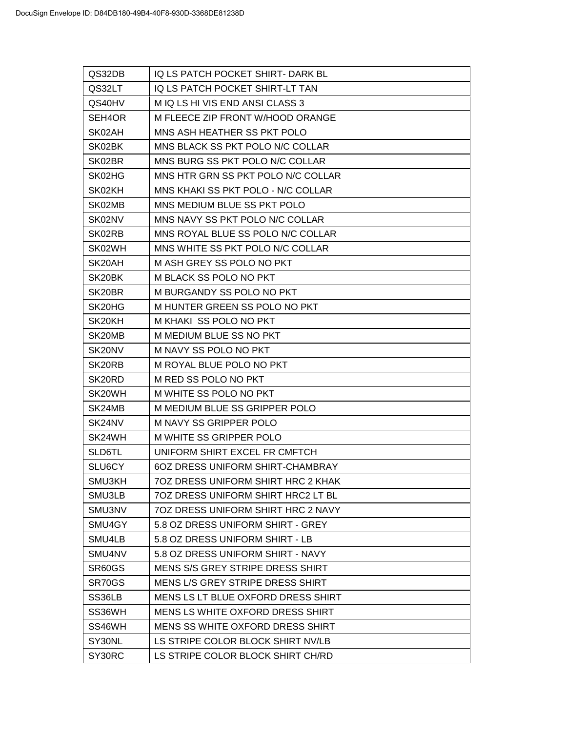| QS32DB                          | IQ LS PATCH POCKET SHIRT- DARK BL       |
|---------------------------------|-----------------------------------------|
| QS32LT                          | IQ LS PATCH POCKET SHIRT-LT TAN         |
| QS40HV                          | M IQ LS HI VIS END ANSI CLASS 3         |
| SEH <sub>4</sub> OR             | M FLEECE ZIP FRONT W/HOOD ORANGE        |
| SK02AH                          | MNS ASH HEATHER SS PKT POLO             |
| SK02BK                          | MNS BLACK SS PKT POLO N/C COLLAR        |
| SK02BR                          | MNS BURG SS PKT POLO N/C COLLAR         |
| SK02HG                          | MNS HTR GRN SS PKT POLO N/C COLLAR      |
| SK02KH                          | MNS KHAKI SS PKT POLO - N/C COLLAR      |
| SK02MB                          | MNS MEDIUM BLUE SS PKT POLO             |
| SK02NV                          | MNS NAVY SS PKT POLO N/C COLLAR         |
| SK02RB                          | MNS ROYAL BLUE SS POLO N/C COLLAR       |
| SK02WH                          | MNS WHITE SS PKT POLO N/C COLLAR        |
| SK20AH                          | M ASH GREY SS POLO NO PKT               |
| SK20BK                          | M BLACK SS POLO NO PKT                  |
| SK20BR                          | M BURGANDY SS POLO NO PKT               |
| SK <sub>20</sub> H <sub>G</sub> | M HUNTER GREEN SS POLO NO PKT           |
| SK <sub>20KH</sub>              | M KHAKI SS POLO NO PKT                  |
| SK20MB                          | M MEDIUM BLUE SS NO PKT                 |
| SK20NV                          | M NAVY SS POLO NO PKT                   |
| SK <sub>20</sub> RB             | M ROYAL BLUE POLO NO PKT                |
| SK <sub>20RD</sub>              | M RED SS POLO NO PKT                    |
| SK20WH                          | M WHITE SS POLO NO PKT                  |
| SK24MB                          | M MEDIUM BLUE SS GRIPPER POLO           |
| SK24NV                          | <b>M NAVY SS GRIPPER POLO</b>           |
| SK24WH                          | M WHITE SS GRIPPER POLO                 |
| SLD6TL                          | UNIFORM SHIRT EXCEL FR CMFTCH           |
| SLU6CY                          | <b>6OZ DRESS UNIFORM SHIRT-CHAMBRAY</b> |
| SMU3KH                          | 7OZ DRESS UNIFORM SHIRT HRC 2 KHAK      |
| SMU3LB                          | 70Z DRESS UNIFORM SHIRT HRC2 LT BL      |
| SMU3NV                          | 70Z DRESS UNIFORM SHIRT HRC 2 NAVY      |
| SMU4GY                          | 5.8 OZ DRESS UNIFORM SHIRT - GREY       |
| SMU4LB                          | 5.8 OZ DRESS UNIFORM SHIRT - LB         |
| SMU4NV                          | 5.8 OZ DRESS UNIFORM SHIRT - NAVY       |
| SR60GS                          | MENS S/S GREY STRIPE DRESS SHIRT        |
| SR70GS                          | MENS L/S GREY STRIPE DRESS SHIRT        |
| SS36LB                          | MENS LS LT BLUE OXFORD DRESS SHIRT      |
| SS36WH                          | MENS LS WHITE OXFORD DRESS SHIRT        |
| SS46WH                          | MENS SS WHITE OXFORD DRESS SHIRT        |
| SY30NL                          | LS STRIPE COLOR BLOCK SHIRT NV/LB       |
| SY30RC                          | LS STRIPE COLOR BLOCK SHIRT CH/RD       |